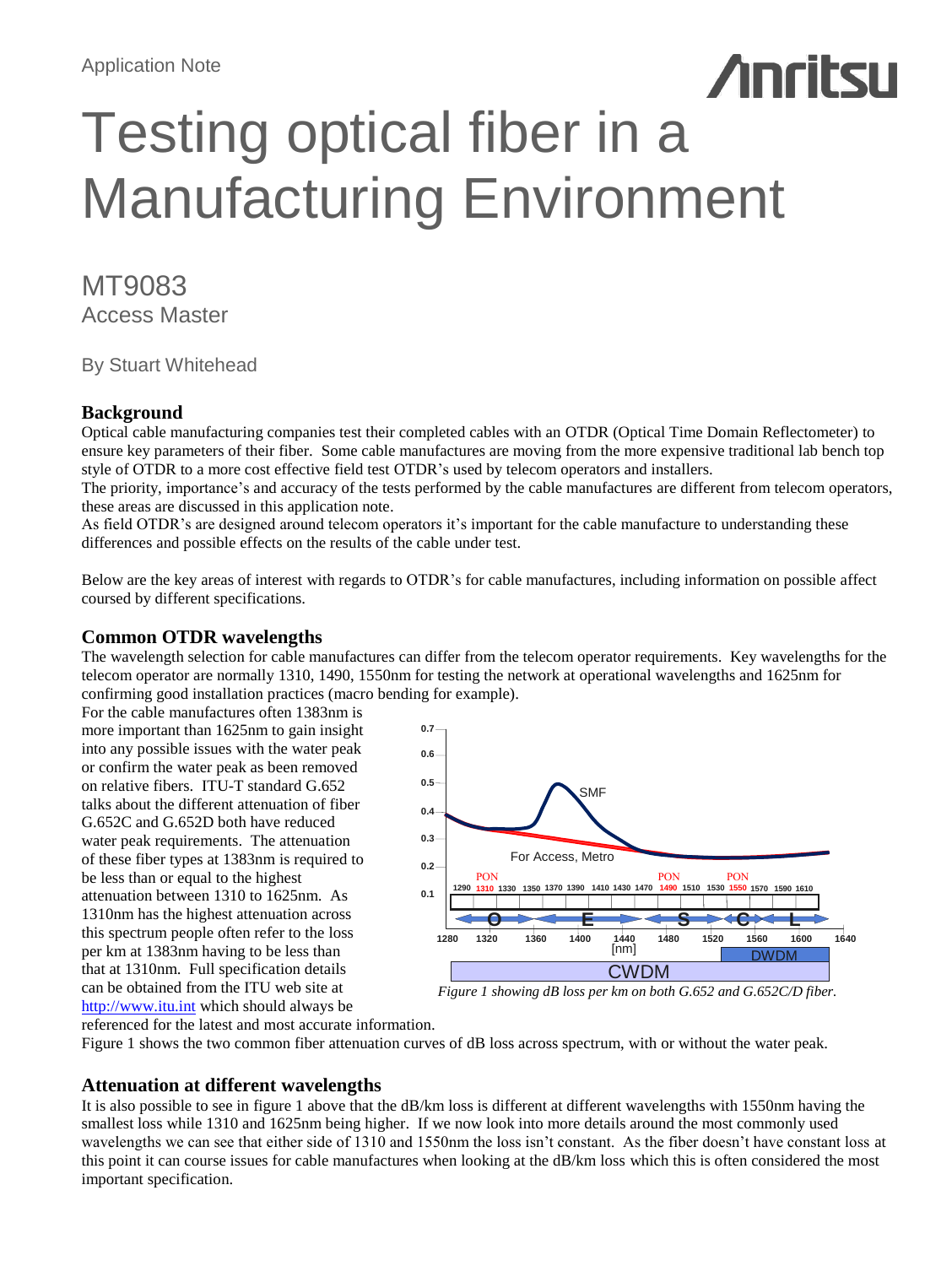# **Anritsu** Testing optical fiber in a Manufacturing Environment

## MT9083 Access Master

By Stuart Whitehead

## **Background**

Optical cable manufacturing companies test their completed cables with an OTDR (Optical Time Domain Reflectometer) to ensure key parameters of their fiber. Some cable manufactures are moving from the more expensive traditional lab bench top style of OTDR to a more cost effective field test OTDR's used by telecom operators and installers.

The priority, importance's and accuracy of the tests performed by the cable manufactures are different from telecom operators, these areas are discussed in this application note.

As field OTDR's are designed around telecom operators it's important for the cable manufacture to understanding these differences and possible effects on the results of the cable under test.

Below are the key areas of interest with regards to OTDR's for cable manufactures, including information on possible affect coursed by different specifications.

## **Common OTDR wavelengths**

The wavelength selection for cable manufactures can differ from the telecom operator requirements. Key wavelengths for the telecom operator are normally 1310, 1490, 1550nm for testing the network at operational wavelengths and 1625nm for confirming good installation practices (macro bending for example).

For the cable manufactures often 1383nm is more important than 1625nm to gain insight into any possible issues with the water peak or confirm the water peak as been removed on relative fibers. ITU-T standard G.652 talks about the different attenuation of fiber G.652C and G.652D both have reduced water peak requirements. The attenuation of these fiber types at 1383nm is required to be less than or equal to the highest attenuation between 1310 to 1625nm. As 1310nm has the highest attenuation across this spectrum people often refer to the loss per km at 1383nm having to be less than that at 1310nm. Full specification details can be obtained from the ITU web site at [http://www.itu.int](http://www.itu.int/) which should always be



*Figure 1 showing dB loss per km on both G.652 and G.652C/D fiber.*

referenced for the latest and most accurate information. Figure 1 shows the two common fiber attenuation curves of dB loss across spectrum, with or without the water peak.

## **Attenuation at different wavelengths**

It is also possible to see in figure 1 above that the dB/km loss is different at different wavelengths with 1550nm having the smallest loss while 1310 and 1625nm being higher. If we now look into more details around the most commonly used wavelengths we can see that either side of 1310 and 1550nm the loss isn't constant. As the fiber doesn't have constant loss at this point it can course issues for cable manufactures when looking at the dB/km loss which this is often considered the most important specification.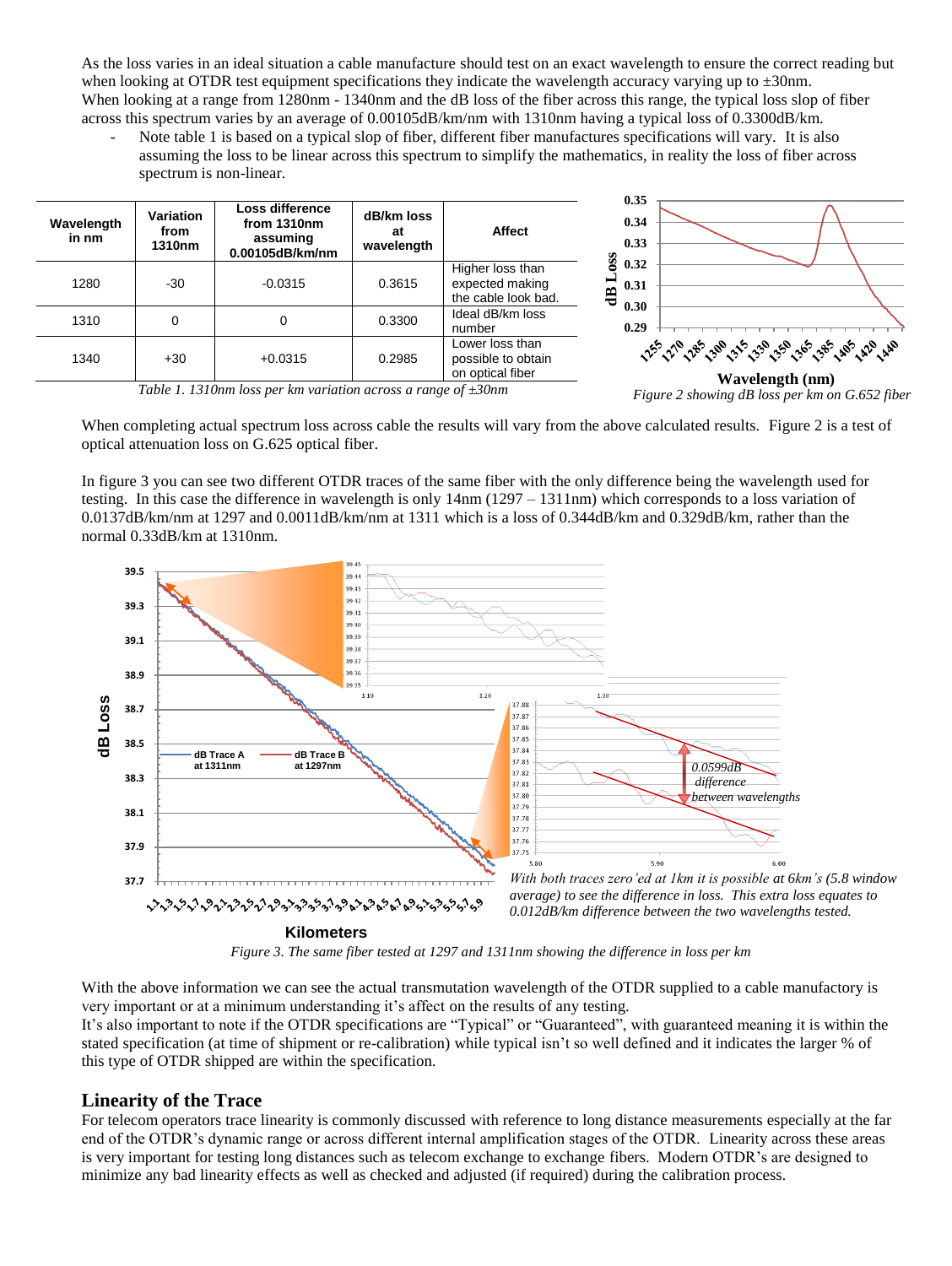As the loss varies in an ideal situation a cable manufacture should test on an exact wavelength to ensure the correct reading but when looking at OTDR test equipment specifications they indicate the wavelength accuracy varying up to  $\pm 30$ nm. When looking at a range from 1280nm - 1340nm and the dB loss of the fiber across this range, the typical loss slop of fiber across this spectrum varies by an average of 0.00105dB/km/nm with 1310nm having a typical loss of 0.3300dB/km.

Note table 1 is based on a typical slop of fiber, different fiber manufactures specifications will vary. It is also assuming the loss to be linear across this spectrum to simplify the mathematics, in reality the loss of fiber across spectrum is non-linear.

| Wavelength<br>in nm | Variation<br>from<br>1310nm | Loss difference<br>from 1310nm<br>assuming<br>0.00105dB/km/nm | dB/km loss<br>at<br>wavelength | <b>Affect</b>                                              | 0.35<br>0.34<br>0.33                            |                                                                                        |
|---------------------|-----------------------------|---------------------------------------------------------------|--------------------------------|------------------------------------------------------------|-------------------------------------------------|----------------------------------------------------------------------------------------|
| 1280                | $-30$                       | $-0.0315$                                                     | 0.3615                         | Higher loss than<br>expected making<br>the cable look bad. | <b>OSS</b><br>0.32<br>0.31<br>€<br>0.30<br>0.29 |                                                                                        |
| 1310                |                             | 0                                                             | 0.3300                         | Ideal dB/km loss<br>number                                 |                                                 |                                                                                        |
| 1340                | $+30$                       | $+0.0315$                                                     | 0.2985                         | Lower loss than<br>possible to obtain<br>on optical fiber  |                                                 | <u>ૣૣૣૣૢૢૡઌ૾૾૾ૣઌઌ૽૾ૼૣૹ૽૾ૣઌઌ૾૾ૼૣઌ૱ૢ૾ૡઌ૾૾ૣ૾ૡઌ૽ૼૣૡઌ૽૾ૼૣઌૣઌૢ૱</u> ૢ૾ૣઌૣ<br>Wavelength (nm) |

*Table 1. 1310nm loss per km variation across a range of ±30nm*

*Figure 2 showing dB loss per km on G.652 fiber*

When completing actual spectrum loss across cable the results will vary from the above calculated results. Figure 2 is a test of optical attenuation loss on G.625 optical fiber.

In figure 3 you can see two different OTDR traces of the same fiber with the only difference being the wavelength used for testing. In this case the difference in wavelength is only 14nm (1297 – 1311nm) which corresponds to a loss variation of 0.0137dB/km/nm at 1297 and 0.0011dB/km/nm at 1311 which is a loss of 0.344dB/km and 0.329dB/km, rather than the normal 0.33dB/km at 1310nm.



*Figure 3. The same fiber tested at 1297 and 1311nm showing the difference in loss per km*

With the above information we can see the actual transmutation wavelength of the OTDR supplied to a cable manufactory is very important or at a minimum understanding it's affect on the results of any testing.

It's also important to note if the OTDR specifications are "Typical" or "Guaranteed", with guaranteed meaning it is within the stated specification (at time of shipment or re-calibration) while typical isn't so well defined and it indicates the larger % of this type of OTDR shipped are within the specification.

## **Linearity of the Trace**

For telecom operators trace linearity is commonly discussed with reference to long distance measurements especially at the far end of the OTDR's dynamic range or across different internal amplification stages of the OTDR. Linearity across these areas is very important for testing long distances such as telecom exchange to exchange fibers. Modern OTDR's are designed to minimize any bad linearity effects as well as checked and adjusted (if required) during the calibration process.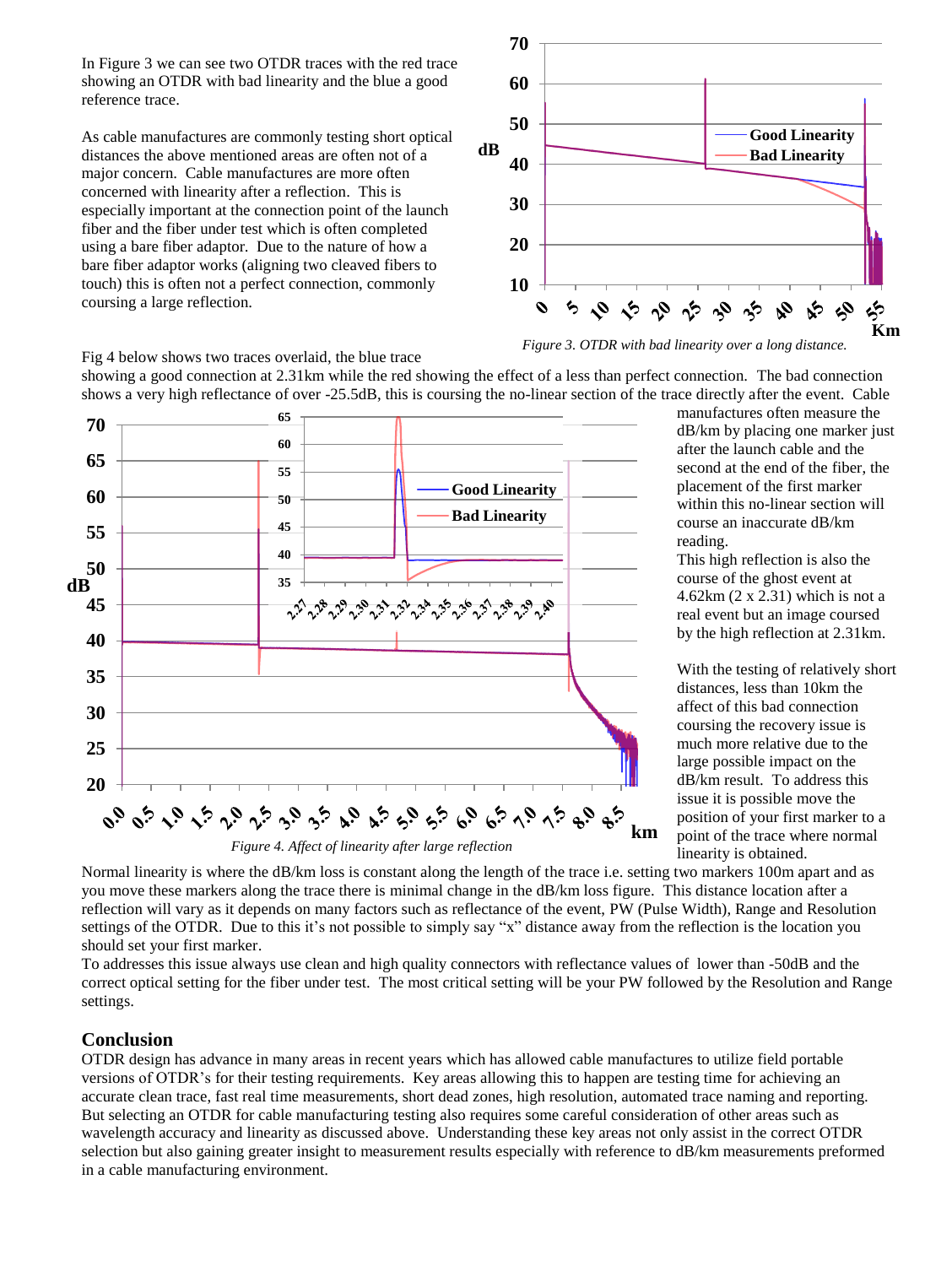In Figure 3 we can see two OTDR traces with the red trace showing an OTDR with bad linearity and the blue a good reference trace.

As cable manufactures are commonly testing short optical distances the above mentioned areas are often not of a major concern. Cable manufactures are more often concerned with linearity after a reflection. This is especially important at the connection point of the launch fiber and the fiber under test which is often completed using a bare fiber adaptor. Due to the nature of how a bare fiber adaptor works (aligning two cleaved fibers to touch) this is often not a perfect connection, commonly coursing a large reflection.



Fig 4 below shows two traces overlaid, the blue trace

showing a good connection at 2.31km while the red showing the effect of a less than perfect connection. The bad connection shows a very high reflectance of over -25.5dB, this is coursing the no-linear section of the trace directly after the event. Cable



*Figure 3. OTDR with bad linearity over a long distance.*

manufactures often measure the dB/km by placing one marker just after the launch cable and the second at the end of the fiber, the placement of the first marker within this no-linear section will course an inaccurate dB/km reading.

This high reflection is also the course of the ghost event at 4.62km (2 x 2.31) which is not a real event but an image coursed by the high reflection at 2.31km.

With the testing of relatively short distances, less than 10km the affect of this bad connection coursing the recovery issue is much more relative due to the large possible impact on the dB/km result. To address this issue it is possible move the position of your first marker to a point of the trace where normal linearity is obtained.

Normal linearity is where the dB/km loss is constant along the length of the trace i.e. setting two markers 100m apart and as you move these markers along the trace there is minimal change in the dB/km loss figure. This distance location after a reflection will vary as it depends on many factors such as reflectance of the event, PW (Pulse Width), Range and Resolution settings of the OTDR. Due to this it's not possible to simply say "x" distance away from the reflection is the location you should set your first marker.

To addresses this issue always use clean and high quality connectors with reflectance values of lower than -50dB and the correct optical setting for the fiber under test. The most critical setting will be your PW followed by the Resolution and Range settings.

## **Conclusion**

OTDR design has advance in many areas in recent years which has allowed cable manufactures to utilize field portable versions of OTDR's for their testing requirements. Key areas allowing this to happen are testing time for achieving an accurate clean trace, fast real time measurements, short dead zones, high resolution, automated trace naming and reporting. But selecting an OTDR for cable manufacturing testing also requires some careful consideration of other areas such as wavelength accuracy and linearity as discussed above. Understanding these key areas not only assist in the correct OTDR selection but also gaining greater insight to measurement results especially with reference to dB/km measurements preformed in a cable manufacturing environment.